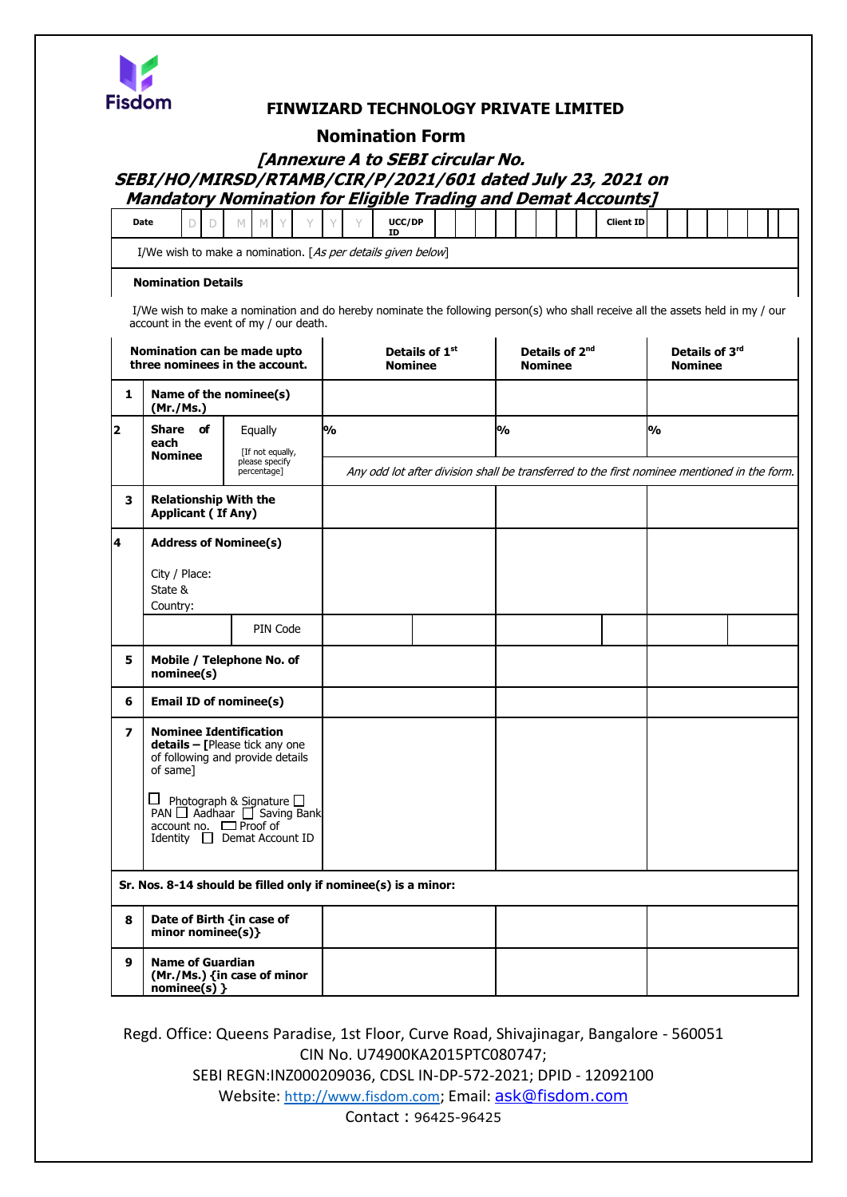

## **FINWIZARD TECHNOLOGY PRIVATE LIMITED**

## **Nomination Form**

# **[Annexure A to SEBI circular No. SEBI/HO/MIRSD/RTAMB/CIR/P/2021/601 dated July 23, 2021 on Mandatory Nomination for Eligible Trading and Demat Accounts]**

| Date | $\sim$ |  |  |  | UCC/DP<br>ID |  |  |  |  | <b>Client ID</b> |  |  |  |  |
|------|--------|--|--|--|--------------|--|--|--|--|------------------|--|--|--|--|
|      |        |  |  |  |              |  |  |  |  |                  |  |  |  |  |

I/We wish to make a nomination. [As per details given below]

#### **Nomination Details**

I/We wish to make a nomination and do hereby nominate the following person(s) who shall receive all the assets held in my / our account in the event of my / our death.

|                         | Nomination can be made upto<br>three nominees in the account.                                                                                               |                                                                                        | <b>Nominee</b> | Details of 1 <sup>st</sup> | Details of 2 <sup>nd</sup><br><b>Nominee</b>                                                | Details of 3rd<br><b>Nominee</b> |  |  |  |  |
|-------------------------|-------------------------------------------------------------------------------------------------------------------------------------------------------------|----------------------------------------------------------------------------------------|----------------|----------------------------|---------------------------------------------------------------------------------------------|----------------------------------|--|--|--|--|
| 1                       | Name of the nominee(s)<br>(Mr./Ms.)                                                                                                                         |                                                                                        |                |                            |                                                                                             |                                  |  |  |  |  |
| $\overline{\mathbf{2}}$ | Share of<br>each<br><b>Nominee</b>                                                                                                                          | Equally<br>[If not equally,<br>please specify                                          | <b>%</b>       |                            | 0%                                                                                          | %                                |  |  |  |  |
| 3                       | <b>Relationship With the</b>                                                                                                                                | percentage]                                                                            |                |                            | Any odd lot after division shall be transferred to the first nominee mentioned in the form. |                                  |  |  |  |  |
|                         | <b>Applicant (If Any)</b>                                                                                                                                   |                                                                                        |                |                            |                                                                                             |                                  |  |  |  |  |
| 14                      | <b>Address of Nominee(s)</b>                                                                                                                                |                                                                                        |                |                            |                                                                                             |                                  |  |  |  |  |
|                         | City / Place:<br>State &<br>Country:                                                                                                                        |                                                                                        |                |                            |                                                                                             |                                  |  |  |  |  |
|                         |                                                                                                                                                             | PIN Code                                                                               |                |                            |                                                                                             |                                  |  |  |  |  |
| 5                       | Mobile / Telephone No. of<br>nominee(s)                                                                                                                     |                                                                                        |                |                            |                                                                                             |                                  |  |  |  |  |
| 6                       | <b>Email ID of nominee(s)</b>                                                                                                                               |                                                                                        |                |                            |                                                                                             |                                  |  |  |  |  |
| 7                       | <b>Nominee Identification</b><br>details - [Please tick any one<br>of following and provide details<br>of same]<br>$\frac{1}{2}$ account no $\Box$ Proof of | □ Photograph & Signature □<br>PAN □ Aadhaar □ Saving Bank<br>Identity Demat Account ID |                |                            |                                                                                             |                                  |  |  |  |  |
|                         |                                                                                                                                                             | Sr. Nos. 8-14 should be filled only if nominee(s) is a minor:                          |                |                            |                                                                                             |                                  |  |  |  |  |
| 8                       | Date of Birth {in case of                                                                                                                                   |                                                                                        |                |                            |                                                                                             |                                  |  |  |  |  |
|                         | minor nominee(s)}                                                                                                                                           |                                                                                        |                |                            |                                                                                             |                                  |  |  |  |  |
| 9                       | <b>Name of Guardian</b><br>(Mr./Ms.) {in case of minor<br>$nominee(s)$ }                                                                                    |                                                                                        |                |                            |                                                                                             |                                  |  |  |  |  |

Regd. Office: Queens Paradise, 1st Floor, Curve Road, Shivajinagar, Bangalore - 560051 CIN No. U74900KA2015PTC080747; SEBI REGN:INZ000209036, CDSL IN-DP-572-2021; DPID - 12092100 Website: [http://www.fisdom.com](http://www.fisdom.com/); Email: [ask@fisdom.com](mailto:ask@fisdom.com) Contact : 96425-96425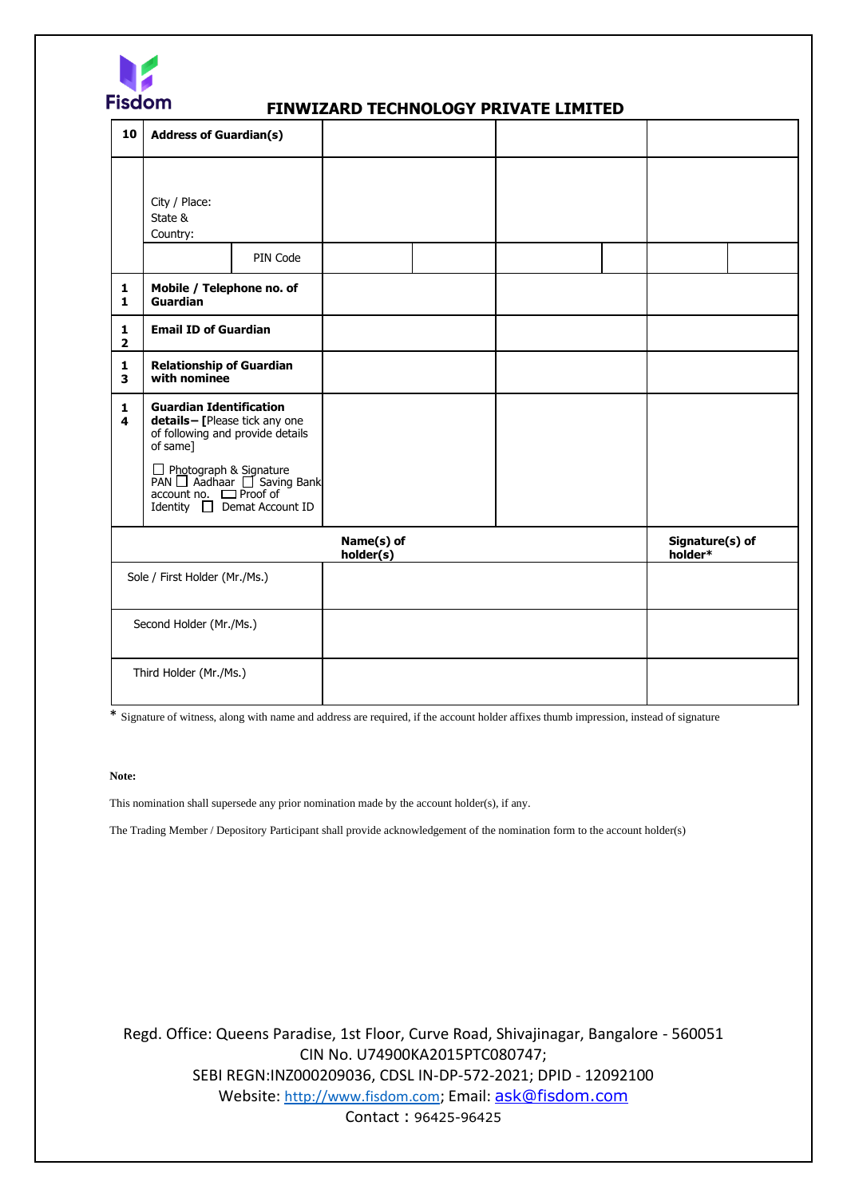

### **FINWIZARD TECHNOLOGY PRIVATE LIMITED**

| 10                                      | <b>Address of Guardian(s)</b>                                                                                                                   |                                                                                                       |                         |  |                            |  |
|-----------------------------------------|-------------------------------------------------------------------------------------------------------------------------------------------------|-------------------------------------------------------------------------------------------------------|-------------------------|--|----------------------------|--|
|                                         | City / Place:<br>State &<br>Country:                                                                                                            |                                                                                                       |                         |  |                            |  |
|                                         |                                                                                                                                                 | PIN Code                                                                                              |                         |  |                            |  |
| $\mathbf{1}$<br>$\mathbf{1}$            | Mobile / Telephone no. of<br>Guardian                                                                                                           |                                                                                                       |                         |  |                            |  |
| $\mathbf{1}$<br>$\overline{2}$          | <b>Email ID of Guardian</b>                                                                                                                     |                                                                                                       |                         |  |                            |  |
| $\mathbf{1}$<br>$\overline{\mathbf{3}}$ | <b>Relationship of Guardian</b><br>with nominee                                                                                                 |                                                                                                       |                         |  |                            |  |
| $\mathbf{1}$<br>$\overline{\mathbf{4}}$ | <b>Guardian Identification</b><br>details-[Please tick any one<br>of following and provide details<br>of same]<br>$account no.$ $\Box$ Proof of | $\Box$ Photograph & Signature<br>PAN $\Box$ Aadhaar $\Box$ Saving Bank<br>Identity □ Demat Account ID |                         |  |                            |  |
|                                         |                                                                                                                                                 |                                                                                                       |                         |  |                            |  |
|                                         |                                                                                                                                                 |                                                                                                       | Name(s) of<br>holder(s) |  | Signature(s) of<br>holder* |  |
| Sole / First Holder (Mr./Ms.)           |                                                                                                                                                 |                                                                                                       |                         |  |                            |  |
|                                         | Second Holder (Mr./Ms.)                                                                                                                         |                                                                                                       |                         |  |                            |  |
|                                         | Third Holder (Mr./Ms.)                                                                                                                          |                                                                                                       |                         |  |                            |  |

\* Signature of witness, along with name and address are required, if the account holder affixes thumb impression, instead of signature

#### **Note:**

This nomination shall supersede any prior nomination made by the account holder(s), if any.

The Trading Member / Depository Participant shall provide acknowledgement of the nomination form to the account holder(s)

Regd. Office: Queens Paradise, 1st Floor, Curve Road, Shivajinagar, Bangalore - 560051 CIN No. U74900KA2015PTC080747; SEBI REGN:INZ000209036, CDSL IN-DP-572-2021; DPID - 12092100 Website: [http://www.fisdom.com](http://www.fisdom.com/); Email: [ask@fisdom.com](mailto:ask@fisdom.com) Contact : 96425-96425